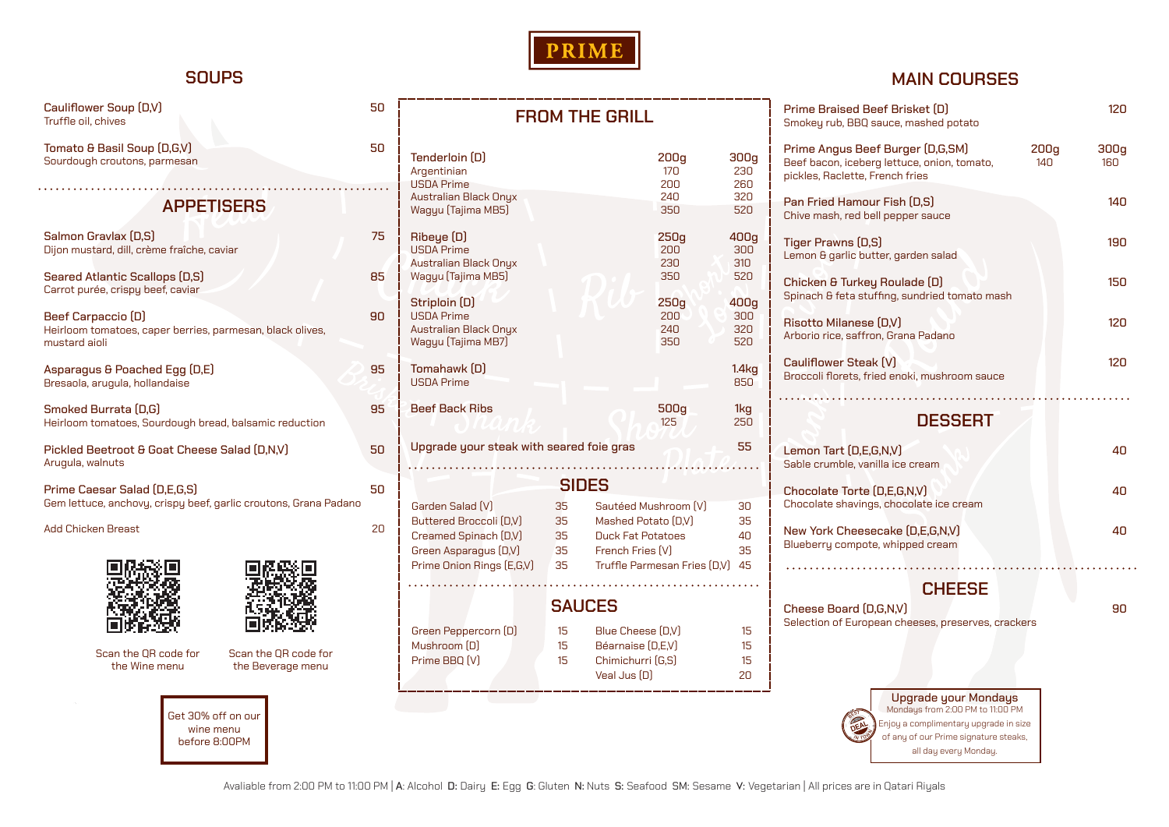

# **SOUPS**

# **MAIN COURSES**

| Cauliflower Soup (D,V)<br>Truffle oil, chives                                                          | 50                                             |                                                                                                        | <b>FROM THE GRILL</b>                                                                                                     |                    | Prime Braised Beef Brisket [D]<br>Smokey rub, BBQ sauce, mashed potato        | 120                                                                                                                               |             |  |
|--------------------------------------------------------------------------------------------------------|------------------------------------------------|--------------------------------------------------------------------------------------------------------|---------------------------------------------------------------------------------------------------------------------------|--------------------|-------------------------------------------------------------------------------|-----------------------------------------------------------------------------------------------------------------------------------|-------------|--|
| Tomato & Basil Soup (D,G,V)<br>Sourdough croutons, parmesan                                            | 50                                             | Tenderloin (D)<br>Argentinian<br><b>USDA Prime</b>                                                     |                                                                                                                           | 200g<br>170<br>200 | 300g<br>230<br>260                                                            | Prime Angus Beef Burger (D,G,SM)<br>200g<br>Beef bacon, iceberg lettuce, onion, tomato,<br>140<br>pickles, Raclette, French fries | 300g<br>160 |  |
| <b>APPETISERS</b>                                                                                      |                                                | <b>Australian Black Onyx</b><br>Wagyu (Tajima MB5)                                                     |                                                                                                                           | 240<br>350         | 320<br>520                                                                    | Pan Fried Hamour Fish (D,S)<br>Chive mash, red bell pepper sauce                                                                  | 140         |  |
| Salmon Gravlax (D,S)<br>Dijon mustard, dill, crème fraîche, caviar                                     | 75                                             | Ribeye (D)<br><b>USDA Prime</b><br><b>Australian Black Onyx</b>                                        |                                                                                                                           | 250g<br>200<br>230 | 400g<br>300<br>310                                                            | Tiger Prawns (D,S)<br>Lemon & garlic butter, garden salad                                                                         | 190         |  |
| <b>Seared Atlantic Scallops (D,S)</b><br>Carrot purée, crispu beef, caviar                             | 85                                             | Wagyu (Tajima MB5)<br>520<br>350<br>Striploin (D)<br>400g<br>250g                                      |                                                                                                                           |                    | Chicken & Turkey Roulade (D)<br>Spinach & feta stuffing, sundried tomato mash |                                                                                                                                   |             |  |
| 90<br>Beef Carpaccio (D)<br>Heirloom tomatoes, caper berries, parmesan, black olives,<br>mustard aioli |                                                | <b>USDA Prime</b><br><b>Australian Black Onyx</b><br>Wagyu (Tajima MB7)                                |                                                                                                                           | 200<br>240<br>350  | 300<br>320<br>520                                                             | Risotto Milanese (D,V)<br>Arborio rice, saffron, Grana Padano                                                                     | 120         |  |
| Asparagus & Poached Egg (D,E)<br>Bresaola, arugula, hollandaise                                        | 95                                             | Tomahawk [D]<br><b>USDA</b> Prime                                                                      |                                                                                                                           |                    | 1.4kg<br>850                                                                  | Cauliflower Steak (V)<br>Broccoli florets, fried enoki, mushroom sauce                                                            | 120         |  |
| Smoked Burrata (D,G)<br>Heirloom tomatoes, Sourdough bread, balsamic reduction                         | 95                                             | <b>Beef Back Ribs</b>                                                                                  |                                                                                                                           | 500g<br>125        | 1kg<br>250                                                                    | <b>DESSERT</b>                                                                                                                    |             |  |
| Pickled Beetroot & Goat Cheese Salad (D,N,V)<br>Arugula, walnuts                                       | 55<br>Upgrade your steak with seared foie gras |                                                                                                        |                                                                                                                           |                    | Lemon Tart (D,E,G,N,V)<br>Sable crumble, vanilla ice cream                    | 40                                                                                                                                |             |  |
| Prime Caesar Salad (D,E,G,S)<br>Gem lettuce, anchovy, crispy beef, garlic croutons, Grana Padano       |                                                | Garden Salad [V]                                                                                       | <b>SIDES</b><br>Sautéed Mushroom [V]<br>35                                                                                |                    | 30                                                                            | Chocolate Torte (D,E,G,N,V)<br>Chocolate shavings, chocolate ice cream                                                            | 40          |  |
| <b>Add Chicken Breast</b>                                                                              | 20                                             | Buttered Broccoli (D,V)<br>Creamed Spinach (D,V)<br>Green Asparagus (D,V)<br>Prime Onion Rings (E,G,V) | 35<br>Mashed Potato [D,V]<br>35<br><b>Duck Fat Potatoes</b><br>French Fries [V]<br>35<br>35                               |                    | 35<br>40<br>35                                                                | New York Cheesecake [D,E,G,N,V]<br>Blueberry compote, whipped cream                                                               | 40          |  |
| Scan the QR code for<br>Scan the QR code for<br>the Wine menu<br>the Beverage menu                     |                                                | Truffle Parmesan Fries (D,V) 45<br><b>SAUCES</b>                                                       |                                                                                                                           |                    |                                                                               | <b>CHEESE</b><br>90<br>Cheese Board (D,G,N,V)                                                                                     |             |  |
|                                                                                                        |                                                | Green Peppercorn (D)<br>Mushroom [D]<br>Prime BBQ [V]                                                  | Blue Cheese (D,V)<br>15<br>Béarnaise [D,E,V]<br>15 <sub>15</sub><br>Chimichurri [G,S]<br>15 <sub>15</sub><br>Veal Jus [D] |                    | 15<br>15<br>15<br>20                                                          | Selection of European cheeses, preserves, crackers                                                                                |             |  |
| Get 30% off on our                                                                                     |                                                |                                                                                                        |                                                                                                                           |                    |                                                                               | <b>Upgrade your Mondays</b><br>Mondays from 2:00 PM to 11:00 PM                                                                   |             |  |

wine menu before 8:00PM Enjoy a complimentary upgrade in size of any of our Prime signature steaks, all day every Monday.



Avaliable from 2:00 PM to 11:00 PM | A: Alcohol D: Dairy E: Egg G: Gluten N: Nuts S: Seafood SM: Sesame V: Vegetarian | All prices are in Qatari Riyals